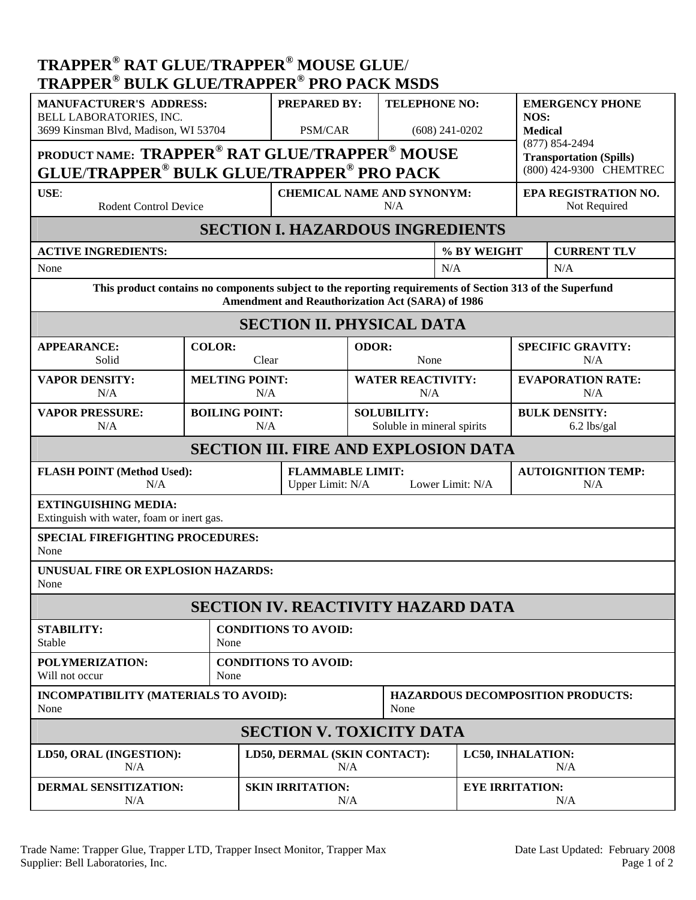| <b>TRAPPER<sup>®</sup> RAT GLUE/TRAPPER<sup>®</sup> MOUSE GLUE/</b><br><b>TRAPPER<sup>®</sup> BULK GLUE/TRAPPER<sup>®</sup> PRO PACK MSDS</b>                        |                         |                                                                        |                                                                 |                      |                                                  |                                                      |                                      |                                 |  |  |
|----------------------------------------------------------------------------------------------------------------------------------------------------------------------|-------------------------|------------------------------------------------------------------------|-----------------------------------------------------------------|----------------------|--------------------------------------------------|------------------------------------------------------|--------------------------------------|---------------------------------|--|--|
| <b>MANUFACTURER'S ADDRESS:</b>                                                                                                                                       |                         |                                                                        | <b>PREPARED BY:</b>                                             |                      | <b>TELEPHONE NO:</b>                             |                                                      | <b>EMERGENCY PHONE</b>               |                                 |  |  |
| BELL LABORATORIES, INC.<br>3699 Kinsman Blvd, Madison, WI 53704                                                                                                      |                         |                                                                        | PSM/CAR                                                         |                      | $(608)$ 241-0202                                 |                                                      | NOS:<br><b>Medical</b>               |                                 |  |  |
|                                                                                                                                                                      |                         | PRODUCT NAME: TRAPPER <sup>®</sup> RAT GLUE/TRAPPER <sup>®</sup> MOUSE |                                                                 |                      |                                                  | $(877) 854 - 2494$<br><b>Transportation (Spills)</b> |                                      |                                 |  |  |
| <b>GLUE/TRAPPER<sup>®</sup> BULK GLUE/TRAPPER<sup>®</sup> PRO PACK</b><br>(800) 424-9300 CHEMTREC                                                                    |                         |                                                                        |                                                                 |                      |                                                  |                                                      |                                      |                                 |  |  |
| USE:<br><b>Rodent Control Device</b>                                                                                                                                 |                         |                                                                        | <b>CHEMICAL NAME AND SYNONYM:</b><br>N/A                        |                      |                                                  |                                                      | EPA REGISTRATION NO.<br>Not Required |                                 |  |  |
| <b>SECTION I. HAZARDOUS INGREDIENTS</b>                                                                                                                              |                         |                                                                        |                                                                 |                      |                                                  |                                                      |                                      |                                 |  |  |
| <b>ACTIVE INGREDIENTS:</b>                                                                                                                                           |                         |                                                                        |                                                                 |                      |                                                  | % BY WEIGHT                                          |                                      | <b>CURRENT TLV</b>              |  |  |
| None                                                                                                                                                                 |                         |                                                                        | N/A                                                             |                      |                                                  |                                                      | N/A                                  |                                 |  |  |
| This product contains no components subject to the reporting requirements of Section 313 of the Superfund<br><b>Amendment and Reauthorization Act (SARA) of 1986</b> |                         |                                                                        |                                                                 |                      |                                                  |                                                      |                                      |                                 |  |  |
| <b>SECTION II. PHYSICAL DATA</b>                                                                                                                                     |                         |                                                                        |                                                                 |                      |                                                  |                                                      |                                      |                                 |  |  |
| <b>APPEARANCE:</b><br>Solid                                                                                                                                          | <b>COLOR:</b><br>Clear  |                                                                        |                                                                 | <b>ODOR:</b><br>None |                                                  |                                                      | <b>SPECIFIC GRAVITY:</b><br>N/A      |                                 |  |  |
| <b>VAPOR DENSITY:</b><br>N/A                                                                                                                                         |                         | <b>MELTING POINT:</b><br>N/A                                           |                                                                 |                      | <b>WATER REACTIVITY:</b><br>N/A                  |                                                      |                                      | <b>EVAPORATION RATE:</b><br>N/A |  |  |
| <b>VAPOR PRESSURE:</b><br>N/A                                                                                                                                        |                         | <b>BOILING POINT:</b><br>N/A                                           |                                                                 |                      | <b>SOLUBILITY:</b><br>Soluble in mineral spirits |                                                      | <b>BULK DENSITY:</b><br>6.2 lbs/gal  |                                 |  |  |
| <b>SECTION III. FIRE AND EXPLOSION DATA</b>                                                                                                                          |                         |                                                                        |                                                                 |                      |                                                  |                                                      |                                      |                                 |  |  |
| <b>FLASH POINT (Method Used):</b><br>N/A                                                                                                                             |                         |                                                                        | <b>FLAMMABLE LIMIT:</b><br>Lower Limit: N/A<br>Upper Limit: N/A |                      |                                                  |                                                      | <b>AUTOIGNITION TEMP:</b><br>N/A     |                                 |  |  |
| <b>EXTINGUISHING MEDIA:</b><br>Extinguish with water, foam or inert gas.                                                                                             |                         |                                                                        |                                                                 |                      |                                                  |                                                      |                                      |                                 |  |  |
| <b>SPECIAL FIREFIGHTING PROCEDURES:</b><br>None                                                                                                                      |                         |                                                                        |                                                                 |                      |                                                  |                                                      |                                      |                                 |  |  |
| UNUSUAL FIRE OR EXPLOSION HAZARDS:<br>None                                                                                                                           |                         |                                                                        |                                                                 |                      |                                                  |                                                      |                                      |                                 |  |  |
| <b>SECTION IV. REACTIVITY HAZARD DATA</b>                                                                                                                            |                         |                                                                        |                                                                 |                      |                                                  |                                                      |                                      |                                 |  |  |
| <b>STABILITY:</b><br>Stable                                                                                                                                          |                         | <b>CONDITIONS TO AVOID:</b><br>None                                    |                                                                 |                      |                                                  |                                                      |                                      |                                 |  |  |
| POLYMERIZATION:<br>Will not occur                                                                                                                                    |                         | <b>CONDITIONS TO AVOID:</b><br>None                                    |                                                                 |                      |                                                  |                                                      |                                      |                                 |  |  |
| INCOMPATIBILITY (MATERIALS TO AVOID):<br>None                                                                                                                        |                         |                                                                        | None                                                            |                      |                                                  | <b>HAZARDOUS DECOMPOSITION PRODUCTS:</b>             |                                      |                                 |  |  |
| <b>SECTION V. TOXICITY DATA</b>                                                                                                                                      |                         |                                                                        |                                                                 |                      |                                                  |                                                      |                                      |                                 |  |  |
| LD50, ORAL (INGESTION):<br>N/A                                                                                                                                       |                         |                                                                        | LD50, DERMAL (SKIN CONTACT):<br>N/A                             |                      |                                                  |                                                      | LC50, INHALATION:<br>N/A             |                                 |  |  |
| DERMAL SENSITIZATION:<br>N/A                                                                                                                                         | <b>SKIN IRRITATION:</b> |                                                                        |                                                                 | N/A                  |                                                  |                                                      | <b>EYE IRRITATION:</b><br>N/A        |                                 |  |  |